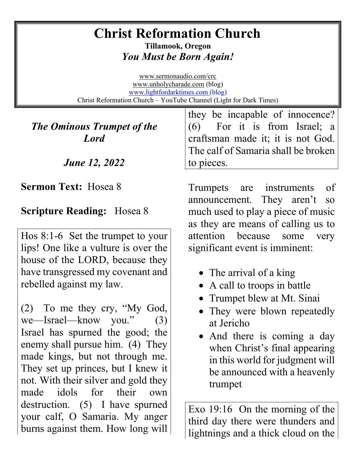# **Christ Reformation Church**

**Tillamook, Oregon** *You Must be Born Again!*

[www.sermonaudio.com/crc](http://www.sermonaudio.com/crc)  [www.unholycharade.com](http://www.unholycharade.com/) (blog) [www.lightfordarktimes.com](http://www.lightfordarktimes.com/) (blog) Christ Reformation Church – YouTube Channel (Light for Dark Times)

*The Ominous Trumpet of the Lord*

*June 12, 2022*

#### **Sermon Text:** Hosea 8

# **Scripture Reading:** Hosea 8

Hos 8:1-6 Set the trumpet to your lips! One like a vulture is over the house of the LORD, because they have transgressed my covenant and rebelled against my law.

(2) To me they cry, "My God, we—Israel—know you." (3) Israel has spurned the good; the enemy shall pursue him. (4) They made kings, but not through me. They set up princes, but I knew it not. With their silver and gold they made idols for their own destruction. (5) I have spurned your calf, O Samaria. My anger burns against them. How long will

they be incapable of innocence? (6) For it is from Israel; a craftsman made it; it is not God. The calf of Samaria shall be broken to pieces.

Trumpets are instruments of announcement. They aren't so much used to play a piece of music as they are means of calling us to attention because some very significant event is imminent:

- The arrival of a king
- A call to troops in battle
- Trumpet blew at Mt. Sinai
- They were blown repeatedly at Jericho
- And there is coming a day when Christ's final appearing in this world for judgment will be announced with a heavenly trumpet

Exo 19:16 On the morning of the third day there were thunders and lightnings and a thick cloud on the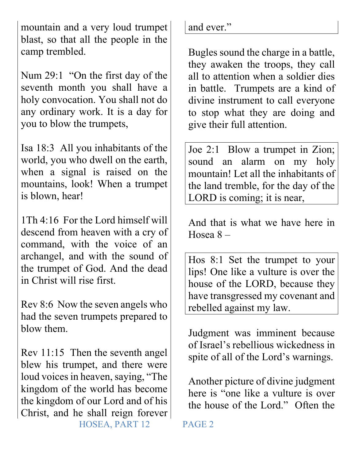mountain and a very loud trumpet blast, so that all the people in the camp trembled.

Num 29:1 "On the first day of the seventh month you shall have a holy convocation. You shall not do any ordinary work. It is a day for you to blow the trumpets,

Isa 18:3 All you inhabitants of the world, you who dwell on the earth, when a signal is raised on the mountains, look! When a trumpet is blown, hear!

1Th 4:16 For the Lord himself will descend from heaven with a cry of command, with the voice of an archangel, and with the sound of the trumpet of God. And the dead in Christ will rise first.

Rev 8:6 Now the seven angels who had the seven trumpets prepared to blow them.

 HOSEA, PART 12 PAGE 2 Rev 11:15 Then the seventh angel blew his trumpet, and there were loud voices in heaven, saying, "The kingdom of the world has become the kingdom of our Lord and of his Christ, and he shall reign forever

and ever."

Bugles sound the charge in a battle, they awaken the troops, they call all to attention when a soldier dies in battle. Trumpets are a kind of divine instrument to call everyone to stop what they are doing and give their full attention.

Joe 2:1 Blow a trumpet in Zion; sound an alarm on my holy mountain! Let all the inhabitants of the land tremble, for the day of the LORD is coming; it is near,

And that is what we have here in Hosea  $8-$ 

Hos 8:1 Set the trumpet to your lips! One like a vulture is over the house of the LORD, because they have transgressed my covenant and rebelled against my law.

Judgment was imminent because of Israel's rebellious wickedness in spite of all of the Lord's warnings.

Another picture of divine judgment here is "one like a vulture is over the house of the Lord." Often the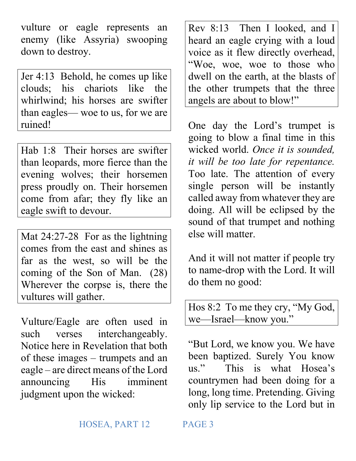vulture or eagle represents an enemy (like Assyria) swooping down to destroy.

Jer 4:13 Behold, he comes up like clouds; his chariots like the whirlwind; his horses are swifter than eagles— woe to us, for we are ruined!

Hab 1:8 Their horses are swifter than leopards, more fierce than the evening wolves; their horsemen press proudly on. Their horsemen come from afar; they fly like an eagle swift to devour.

Mat 24:27-28 For as the lightning comes from the east and shines as far as the west, so will be the coming of the Son of Man. (28) Wherever the corpse is, there the vultures will gather.

Vulture/Eagle are often used in such verses interchangeably. Notice here in Revelation that both of these images – trumpets and an eagle – are direct means of the Lord announcing His imminent judgment upon the wicked:

Rev 8:13 Then I looked, and I heard an eagle crying with a loud voice as it flew directly overhead, "Woe, woe, woe to those who dwell on the earth, at the blasts of the other trumpets that the three angels are about to blow!"

One day the Lord's trumpet is going to blow a final time in this wicked world. *Once it is sounded, it will be too late for repentance.*  Too late. The attention of every single person will be instantly called away from whatever they are doing. All will be eclipsed by the sound of that trumpet and nothing else will matter.

And it will not matter if people try to name-drop with the Lord. It will do them no good:

Hos 8:2 To me they cry, "My God, we—Israel—know you."

"But Lord, we know you. We have been baptized. Surely You know us." This is what Hosea's countrymen had been doing for a long, long time. Pretending. Giving only lip service to the Lord but in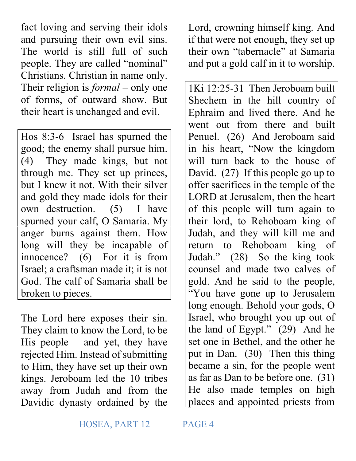fact loving and serving their idols and pursuing their own evil sins. The world is still full of such people. They are called "nominal" Christians. Christian in name only. Their religion is *formal* – only one of forms, of outward show. But their heart is unchanged and evil.

Hos 8:3-6 Israel has spurned the good; the enemy shall pursue him. (4) They made kings, but not through me. They set up princes, but I knew it not. With their silver and gold they made idols for their own destruction. (5) I have spurned your calf, O Samaria. My anger burns against them. How long will they be incapable of innocence? (6) For it is from Israel; a craftsman made it; it is not God. The calf of Samaria shall be broken to pieces.

The Lord here exposes their sin. They claim to know the Lord, to be His people  $-$  and yet, they have rejected Him. Instead of submitting to Him, they have set up their own kings. Jeroboam led the 10 tribes away from Judah and from the Davidic dynasty ordained by the

Lord, crowning himself king. And if that were not enough, they set up their own "tabernacle" at Samaria and put a gold calf in it to worship.

1Ki 12:25-31 Then Jeroboam built Shechem in the hill country of Ephraim and lived there. And he went out from there and built Penuel. (26) And Jeroboam said in his heart, "Now the kingdom will turn back to the house of David. (27) If this people go up to offer sacrifices in the temple of the LORD at Jerusalem, then the heart of this people will turn again to their lord, to Rehoboam king of Judah, and they will kill me and return to Rehoboam king of Judah." (28) So the king took counsel and made two calves of gold. And he said to the people, "You have gone up to Jerusalem long enough. Behold your gods, O Israel, who brought you up out of the land of Egypt." (29) And he set one in Bethel, and the other he put in Dan. (30) Then this thing became a sin, for the people went as far as Dan to be before one. (31) He also made temples on high places and appointed priests from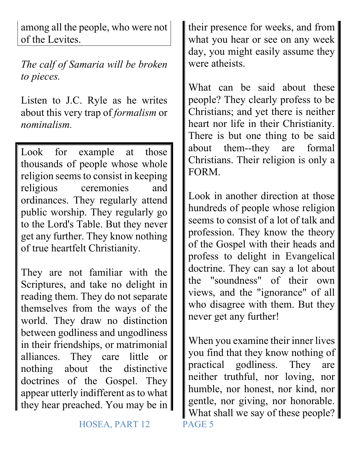among all the people, who were not of the Levites.

*The calf of Samaria will be broken to pieces.* 

Listen to J.C. Ryle as he writes about this very trap of *formalism* or *nominalism.*

Look for example at those thousands of people whose whole religion seems to consist in keeping religious ceremonies and ordinances. They regularly attend public worship. They regularly go to the Lord's Table. But they never get any further. They know nothing of true heartfelt Christianity.

They are not familiar with the Scriptures, and take no delight in reading them. They do not separate themselves from the ways of the world. They draw no distinction between godliness and ungodliness in their friendships, or matrimonial alliances. They care little or nothing about the distinctive doctrines of the Gospel. They appear utterly indifferent as to what they hear preached. You may be in their presence for weeks, and from what you hear or see on any week day, you might easily assume they were atheists.

What can be said about these people? They clearly profess to be Christians; and yet there is neither heart nor life in their Christianity. There is but one thing to be said about them--they are formal Christians. Their religion is only a FORM.

Look in another direction at those hundreds of people whose religion seems to consist of a lot of talk and profession. They know the theory of the Gospel with their heads and profess to delight in Evangelical doctrine. They can say a lot about the "soundness" of their own views, and the "ignorance" of all who disagree with them. But they never get any further!

When you examine their inner lives you find that they know nothing of practical godliness. They are neither truthful, nor loving, nor humble, nor honest, nor kind, nor gentle, nor giving, nor honorable. What shall we say of these people?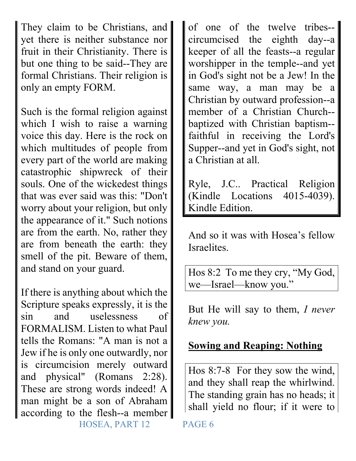They claim to be Christians, and yet there is neither substance nor fruit in their Christianity. There is but one thing to be said--They are formal Christians. Their religion is only an empty FORM.

Such is the formal religion against which I wish to raise a warning voice this day. Here is the rock on which multitudes of people from every part of the world are making catastrophic shipwreck of their souls. One of the wickedest things that was ever said was this: "Don't worry about your religion, but only the appearance of it." Such notions are from the earth. No, rather they are from beneath the earth: they smell of the pit. Beware of them, and stand on your guard.

 HOSEA, PART 12 PAGE 6 If there is anything about which the Scripture speaks expressly, it is the sin and uselessness of FORMALISM. Listen to what Paul tells the Romans: "A man is not a Jew if he is only one outwardly, nor is circumcision merely outward and physical" (Romans 2:28). These are strong words indeed! A man might be a son of Abraham according to the flesh--a member

of one of the twelve tribes- circumcised the eighth day--a keeper of all the feasts--a regular worshipper in the temple--and yet in God's sight not be a Jew! In the same way, a man may be a Christian by outward profession--a member of a Christian Church- baptized with Christian baptism- faithful in receiving the Lord's Supper--and yet in God's sight, not a Christian at all.

Ryle, J.C.. Practical Religion (Kindle Locations 4015-4039). Kindle Edition.

And so it was with Hosea's fellow Israelites.

Hos 8:2 To me they cry, "My God, we—Israel—know you."

But He will say to them, *I never knew you.*

## **Sowing and Reaping: Nothing**

Hos 8:7-8 For they sow the wind, and they shall reap the whirlwind. The standing grain has no heads; it shall yield no flour; if it were to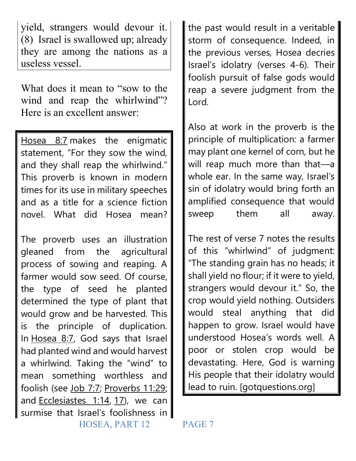yield, strangers would devour it. (8) Israel is swallowed up; already they are among the nations as a useless vessel.

What does it mean to "sow to the wind and reap the whirlwind"? Here is an excellent answer:

[Hosea 8:7](https://biblia.com/bible/esv/Hos%208.7) makes the enigmatic statement, "For they sow the wind, and they shall reap the whirlwind." This proverb is known in modern times for its use in military speeches and as a title for a science fiction novel. What did Hosea mean?

 HOSEA, PART 12 PAGE 7 The proverb uses an illustration gleaned from the agricultural process of sowing and reaping. A farmer would sow seed. Of course, the type of seed he planted determined the type of plant that would grow and be harvested. This is the principle of duplication. In [Hosea 8:7,](https://biblia.com/bible/esv/Hos%208.7) God says that Israel had planted wind and would harvest a whirlwind. Taking the "wind" to mean something worthless and foolish (see [Job 7:7;](https://biblia.com/bible/esv/Job%207.7) [Proverbs 11:29;](https://biblia.com/bible/esv/Prov%2011.29) and [Ecclesiastes 1:14,](https://biblia.com/bible/esv/Eccles%201.14) [17\)](https://biblia.com/bible/esv/Ecclesiastes%201.17), we can surmise that Israel's foolishness in

the past would result in a veritable storm of consequence. Indeed, in the previous verses, Hosea decries Israel's idolatry (verses 4-6). Their foolish pursuit of false gods would reap a severe judgment from the Lord.

Also at work in the proverb is the principle of multiplication: a farmer may plant one kernel of corn, but he will reap much more than that—a whole ear. In the same way, Israel's sin of idolatry would bring forth an amplified consequence that would sweep them all away.

The rest of verse 7 notes the results of this "whirlwind" of judgment: "The standing grain has no heads; it shall yield no flour; if it were to yield, strangers would devour it." So, the crop would yield nothing. Outsiders would steal anything that did happen to grow. Israel would have understood Hosea's words well. A poor or stolen crop would be devastating. Here, God is warning His people that their idolatry would lead to ruin. [gotquestions.org]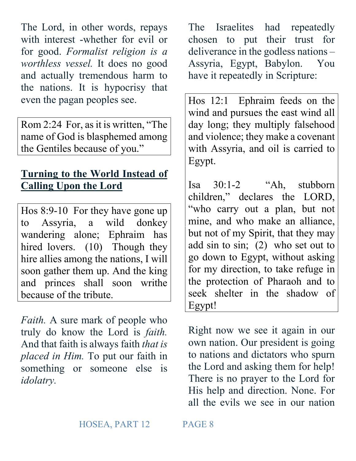The Lord, in other words, repays with interest -whether for evil or for good. *Formalist religion is a worthless vessel.* It does no good and actually tremendous harm to the nations. It is hypocrisy that even the pagan peoples see.

Rom 2:24 For, as it is written, "The name of God is blasphemed among the Gentiles because of you."

### **Turning to the World Instead of Calling Upon the Lord**

Hos 8:9-10 For they have gone up to Assyria, a wild donkey wandering alone; Ephraim has hired lovers. (10) Though they hire allies among the nations, I will soon gather them up. And the king and princes shall soon writhe because of the tribute.

*Faith.* A sure mark of people who truly do know the Lord is *faith.* And that faith is always faith *that is placed in Him.* To put our faith in something or someone else is *idolatry.* 

The Israelites had repeatedly chosen to put their trust for deliverance in the godless nations – Assyria, Egypt, Babylon. You have it repeatedly in Scripture:

Hos 12:1 Ephraim feeds on the wind and pursues the east wind all day long; they multiply falsehood and violence; they make a covenant with Assyria, and oil is carried to Egypt.

Isa 30:1-2 "Ah, stubborn children," declares the LORD, "who carry out a plan, but not mine, and who make an alliance, but not of my Spirit, that they may add sin to sin; (2) who set out to go down to Egypt, without asking for my direction, to take refuge in the protection of Pharaoh and to seek shelter in the shadow of Egypt!

Right now we see it again in our own nation. Our president is going to nations and dictators who spurn the Lord and asking them for help! There is no prayer to the Lord for His help and direction. None. For all the evils we see in our nation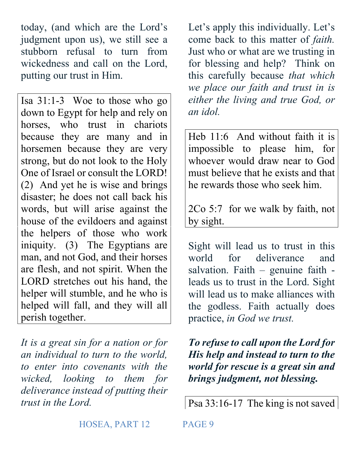today, (and which are the Lord's judgment upon us), we still see a stubborn refusal to turn from wickedness and call on the Lord, putting our trust in Him.

Isa 31:1-3 Woe to those who go down to Egypt for help and rely on horses, who trust in chariots because they are many and in horsemen because they are very strong, but do not look to the Holy One of Israel or consult the LORD! (2) And yet he is wise and brings disaster; he does not call back his words, but will arise against the house of the evildoers and against the helpers of those who work iniquity. (3) The Egyptians are man, and not God, and their horses are flesh, and not spirit. When the LORD stretches out his hand, the helper will stumble, and he who is helped will fall, and they will all perish together.

*It is a great sin for a nation or for an individual to turn to the world, to enter into covenants with the wicked, looking to them for deliverance instead of putting their trust in the Lord.* 

Let's apply this individually. Let's come back to this matter of *faith.*  Just who or what are we trusting in for blessing and help? Think on this carefully because *that which we place our faith and trust in is either the living and true God, or an idol.* 

Heb 11:6 And without faith it is impossible to please him, for whoever would draw near to God must believe that he exists and that he rewards those who seek him.

2Co 5:7 for we walk by faith, not by sight.

Sight will lead us to trust in this world for deliverance and salvation. Faith – genuine faith leads us to trust in the Lord. Sight will lead us to make alliances with the godless. Faith actually does practice, *in God we trust.*

*To refuse to call upon the Lord for His help and instead to turn to the world for rescue is a great sin and brings judgment, not blessing.*

Psa 33:16-17 The king is not saved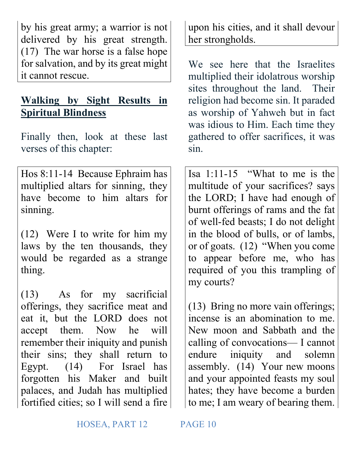by his great army; a warrior is not delivered by his great strength. (17) The war horse is a false hope for salvation, and by its great might it cannot rescue.

# **Walking by Sight Results in Spiritual Blindness**

Finally then, look at these last verses of this chapter:

Hos 8:11-14 Because Ephraim has multiplied altars for sinning, they have become to him altars for sinning.

(12) Were I to write for him my laws by the ten thousands, they would be regarded as a strange thing.

(13) As for my sacrificial offerings, they sacrifice meat and eat it, but the LORD does not accept them. Now he will remember their iniquity and punish their sins; they shall return to Egypt. (14) For Israel has forgotten his Maker and built palaces, and Judah has multiplied fortified cities; so I will send a fire

upon his cities, and it shall devour her strongholds.

We see here that the Israelites multiplied their idolatrous worship sites throughout the land. Their religion had become sin. It paraded as worship of Yahweh but in fact was idious to Him. Each time they gathered to offer sacrifices, it was sin.

Isa 1:11-15 "What to me is the multitude of your sacrifices? says the LORD; I have had enough of burnt offerings of rams and the fat of well-fed beasts; I do not delight in the blood of bulls, or of lambs, or of goats. (12) "When you come to appear before me, who has required of you this trampling of my courts?

(13) Bring no more vain offerings; incense is an abomination to me. New moon and Sabbath and the calling of convocations— I cannot endure iniquity and solemn assembly. (14) Your new moons and your appointed feasts my soul hates; they have become a burden to me; I am weary of bearing them.